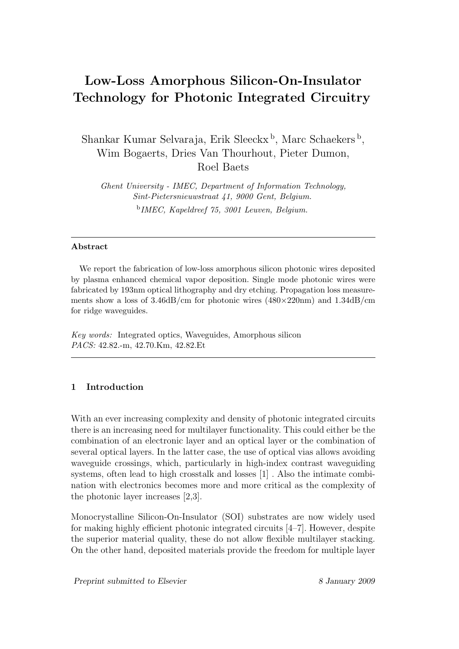# Low-Loss Amorphous Silicon-On-Insulator Technology for Photonic Integrated Circuitry

Shankar Kumar Selvaraja, Erik Sleeckx<sup>b</sup>, Marc Schaekers<sup>b</sup>, Wim Bogaerts, Dries Van Thourhout, Pieter Dumon, Roel Baets

Ghent University - IMEC, Department of Information Technology, Sint-Pietersnieuwstraat 41, 9000 Gent, Belgium. b IMEC, Kapeldreef 75, 3001 Leuven, Belgium.

### Abstract

We report the fabrication of low-loss amorphous silicon photonic wires deposited by plasma enhanced chemical vapor deposition. Single mode photonic wires were fabricated by 193nm optical lithography and dry etching. Propagation loss measurements show a loss of  $3.46 \times d$  for photonic wires  $(480 \times 220 \text{nm})$  and  $1.34 \times d$  /m for ridge waveguides.

Key words: Integrated optics, Waveguides, Amorphous silicon PACS: 42.82.-m, 42.70.Km, 42.82.Et

## 1 Introduction

With an ever increasing complexity and density of photonic integrated circuits there is an increasing need for multilayer functionality. This could either be the combination of an electronic layer and an optical layer or the combination of several optical layers. In the latter case, the use of optical vias allows avoiding waveguide crossings, which, particularly in high-index contrast waveguiding systems, often lead to high crosstalk and losses [1] . Also the intimate combination with electronics becomes more and more critical as the complexity of the photonic layer increases [2,3].

Monocrystalline Silicon-On-Insulator (SOI) substrates are now widely used for making highly efficient photonic integrated circuits [4–7]. However, despite the superior material quality, these do not allow flexible multilayer stacking. On the other hand, deposited materials provide the freedom for multiple layer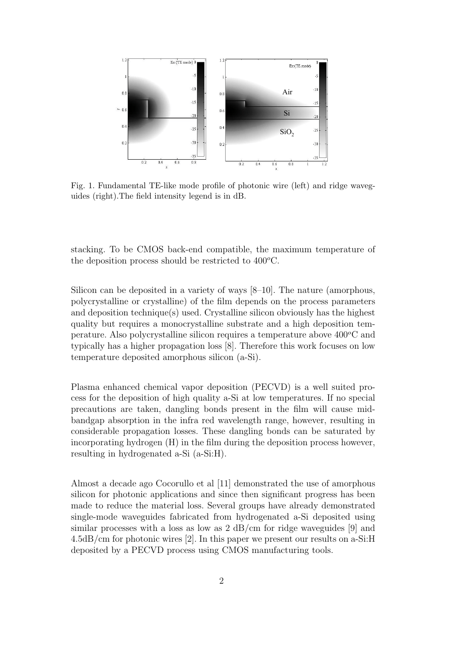

Fig. 1. Fundamental TE-like mode profile of photonic wire (left) and ridge waveguides (right).The field intensity legend is in dB.

stacking. To be CMOS back-end compatible, the maximum temperature of the deposition process should be restricted to  $400^{\circ}$ C.

Silicon can be deposited in a variety of ways [8–10]. The nature (amorphous, polycrystalline or crystalline) of the film depends on the process parameters and deposition technique(s) used. Crystalline silicon obviously has the highest quality but requires a monocrystalline substrate and a high deposition temperature. Also polycrystalline silicon requires a temperature above  $400^{\circ}$ C and typically has a higher propagation loss [8]. Therefore this work focuses on low temperature deposited amorphous silicon (a-Si).

Plasma enhanced chemical vapor deposition (PECVD) is a well suited process for the deposition of high quality a-Si at low temperatures. If no special precautions are taken, dangling bonds present in the film will cause midbandgap absorption in the infra red wavelength range, however, resulting in considerable propagation losses. These dangling bonds can be saturated by incorporating hydrogen (H) in the film during the deposition process however, resulting in hydrogenated a-Si (a-Si:H).

Almost a decade ago Cocorullo et al [11] demonstrated the use of amorphous silicon for photonic applications and since then significant progress has been made to reduce the material loss. Several groups have already demonstrated single-mode waveguides fabricated from hydrogenated a-Si deposited using similar processes with a loss as low as  $2 \text{ dB/cm}$  for ridge waveguides [9] and 4.5dB/cm for photonic wires [2]. In this paper we present our results on a-Si:H deposited by a PECVD process using CMOS manufacturing tools.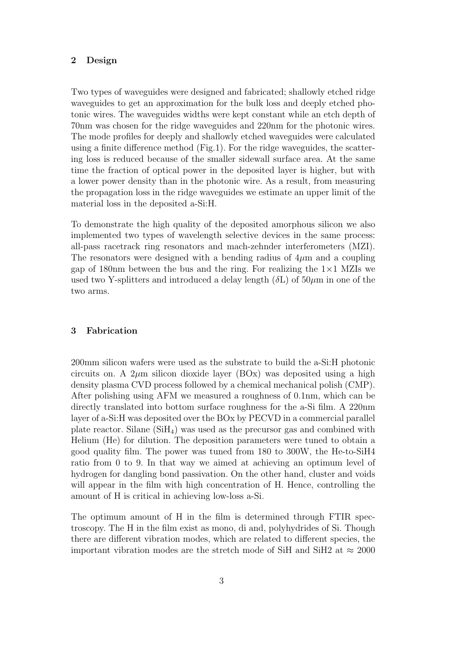#### 2 Design

Two types of waveguides were designed and fabricated; shallowly etched ridge waveguides to get an approximation for the bulk loss and deeply etched photonic wires. The waveguides widths were kept constant while an etch depth of 70nm was chosen for the ridge waveguides and 220nm for the photonic wires. The mode profiles for deeply and shallowly etched waveguides were calculated using a finite difference method (Fig.1). For the ridge waveguides, the scattering loss is reduced because of the smaller sidewall surface area. At the same time the fraction of optical power in the deposited layer is higher, but with a lower power density than in the photonic wire. As a result, from measuring the propagation loss in the ridge waveguides we estimate an upper limit of the material loss in the deposited a-Si:H.

To demonstrate the high quality of the deposited amorphous silicon we also implemented two types of wavelength selective devices in the same process: all-pass racetrack ring resonators and mach-zehnder interferometers (MZI). The resonators were designed with a bending radius of  $4\mu$ m and a coupling gap of 180nm between the bus and the ring. For realizing the  $1\times1$  MZIs we used two Y-splitters and introduced a delay length  $(\delta L)$  of 50 $\mu$ m in one of the two arms.

#### 3 Fabrication

200mm silicon wafers were used as the substrate to build the a-Si:H photonic circuits on. A  $2\mu$ m silicon dioxide layer (BOx) was deposited using a high density plasma CVD process followed by a chemical mechanical polish (CMP). After polishing using AFM we measured a roughness of 0.1nm, which can be directly translated into bottom surface roughness for the a-Si film. A 220nm layer of a-Si:H was deposited over the BOx by PECVD in a commercial parallel plate reactor. Silane  $(SiH_4)$  was used as the precursor gas and combined with Helium (He) for dilution. The deposition parameters were tuned to obtain a good quality film. The power was tuned from 180 to 300W, the He-to-SiH4 ratio from 0 to 9. In that way we aimed at achieving an optimum level of hydrogen for dangling bond passivation. On the other hand, cluster and voids will appear in the film with high concentration of H. Hence, controlling the amount of H is critical in achieving low-loss a-Si.

The optimum amount of H in the film is determined through FTIR spectroscopy. The H in the film exist as mono, di and, polyhydrides of Si. Though there are different vibration modes, which are related to different species, the important vibration modes are the stretch mode of SiH and SiH2 at  $\approx 2000$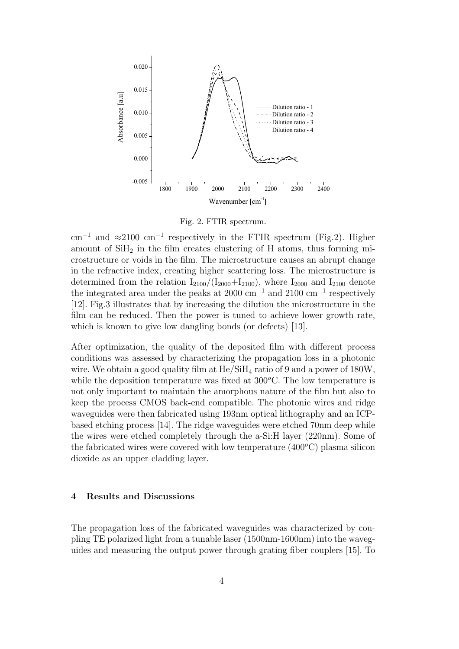

Fig. 2. FTIR spectrum.

cm<sup>-1</sup> and  $\approx$ 2100 cm<sup>-1</sup> respectively in the FTIR spectrum (Fig.2). Higher amount of  $SiH<sub>2</sub>$  in the film creates clustering of H atoms, thus forming microstructure or voids in the film. The microstructure causes an abrupt change in the refractive index, creating higher scattering loss. The microstructure is determined from the relation  $I_{2100}/(I_{2000}+I_{2100})$ , where  $I_{2000}$  and  $I_{2100}$  denote the integrated area under the peaks at 2000 cm<sup>-1</sup> and 2100 cm<sup>-1</sup> respectively [12]. Fig.3 illustrates that by increasing the dilution the microstructure in the film can be reduced. Then the power is tuned to achieve lower growth rate, which is known to give low dangling bonds (or defects) [13].

After optimization, the quality of the deposited film with different process conditions was assessed by characterizing the propagation loss in a photonic wire. We obtain a good quality film at  $\text{He/SiH}_4$  ratio of 9 and a power of 180W, while the deposition temperature was fixed at  $300^{\circ}$ C. The low temperature is not only important to maintain the amorphous nature of the film but also to keep the process CMOS back-end compatible. The photonic wires and ridge waveguides were then fabricated using 193nm optical lithography and an ICPbased etching process [14]. The ridge waveguides were etched 70nm deep while the wires were etched completely through the a-Si:H layer (220nm). Some of the fabricated wires were covered with low temperature  $(400^{\circ}C)$  plasma silicon dioxide as an upper cladding layer.

#### 4 Results and Discussions

The propagation loss of the fabricated waveguides was characterized by coupling TE polarized light from a tunable laser (1500nm-1600nm) into the waveguides and measuring the output power through grating fiber couplers [15]. To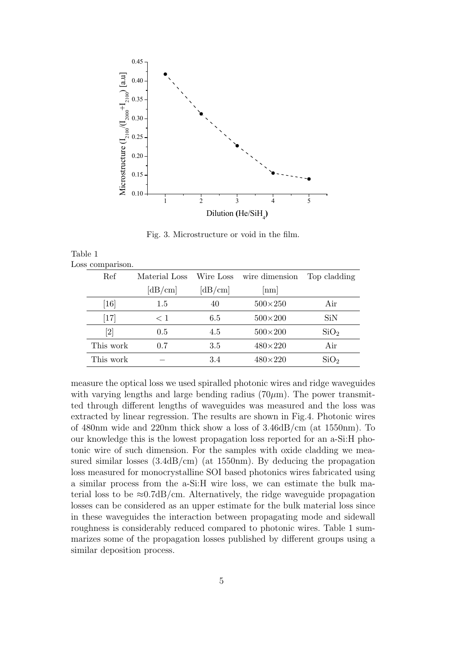

Fig. 3. Microstructure or void in the film.

| Table 1 |                  |  |
|---------|------------------|--|
|         | Loss comparison. |  |

| Ref                           | Material Loss | Wire Loss | wire dimension | Top cladding     |
|-------------------------------|---------------|-----------|----------------|------------------|
|                               | [dB/cm]       | [dB/cm]   | nm             |                  |
| $\left\lceil 16 \right\rceil$ | 1.5           | 40        | $500\times250$ | Air              |
| [17]                          | < 1           | 6.5       | $500\times200$ | SiN              |
|                               | 0.5           | 4.5       | $500\times200$ | SiO <sub>2</sub> |
| This work                     | 0.7           | 3.5       | $480\times220$ | Air              |
| This work                     |               | 3.4       | $480\times220$ | SiO <sub>2</sub> |
|                               |               |           |                |                  |

measure the optical loss we used spiralled photonic wires and ridge waveguides with varying lengths and large bending radius  $(70 \mu m)$ . The power transmitted through different lengths of waveguides was measured and the loss was extracted by linear regression. The results are shown in Fig.4. Photonic wires of 480nm wide and 220nm thick show a loss of 3.46dB/cm (at 1550nm). To our knowledge this is the lowest propagation loss reported for an a-Si:H photonic wire of such dimension. For the samples with oxide cladding we measured similar losses  $(3.4dB/cm)$  (at 1550nm). By deducing the propagation loss measured for monocrystalline SOI based photonics wires fabricated using a similar process from the a-Si:H wire loss, we can estimate the bulk material loss to be  $\approx 0.7$ dB/cm. Alternatively, the ridge waveguide propagation losses can be considered as an upper estimate for the bulk material loss since in these waveguides the interaction between propagating mode and sidewall roughness is considerably reduced compared to photonic wires. Table 1 summarizes some of the propagation losses published by different groups using a similar deposition process.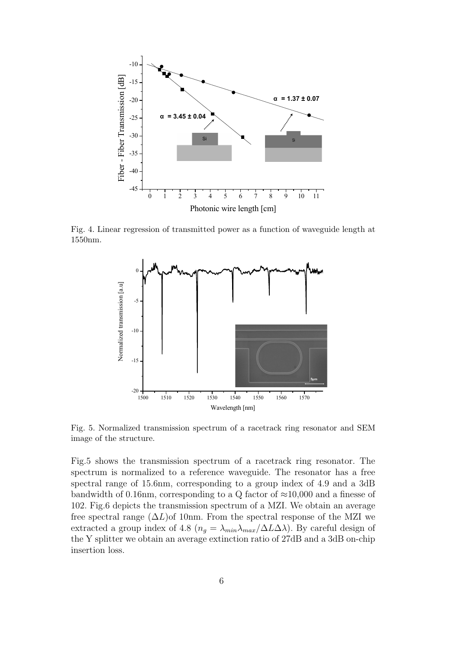

Fig. 4. Linear regression of transmitted power as a function of waveguide length at 1550nm.



Fig. 5. Normalized transmission spectrum of a racetrack ring resonator and SEM image of the structure.

Fig.5 shows the transmission spectrum of a racetrack ring resonator. The spectrum is normalized to a reference waveguide. The resonator has a free spectral range of 15.6nm, corresponding to a group index of 4.9 and a 3dB bandwidth of 0.16nm, corresponding to a Q factor of  $\approx$ 10,000 and a finesse of 102. Fig.6 depicts the transmission spectrum of a MZI. We obtain an average free spectral range  $(\Delta L)$ of 10nm. From the spectral response of the MZI we extracted a group index of 4.8 ( $n_q = \lambda_{min} \lambda_{max}/\Delta L \Delta \lambda$ ). By careful design of the Y splitter we obtain an average extinction ratio of 27dB and a 3dB on-chip insertion loss.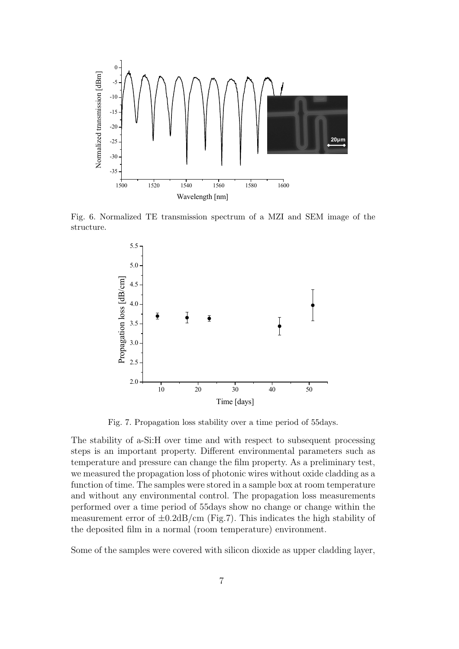

Fig. 6. Normalized TE transmission spectrum of a MZI and SEM image of the structure.



Fig. 7. Propagation loss stability over a time period of 55days.

The stability of a-Si:H over time and with respect to subsequent processing steps is an important property. Different environmental parameters such as temperature and pressure can change the film property. As a preliminary test, we measured the propagation loss of photonic wires without oxide cladding as a function of time. The samples were stored in a sample box at room temperature and without any environmental control. The propagation loss measurements performed over a time period of 55days show no change or change within the measurement error of  $\pm 0.2$ dB/cm (Fig.7). This indicates the high stability of the deposited film in a normal (room temperature) environment.

Some of the samples were covered with silicon dioxide as upper cladding layer,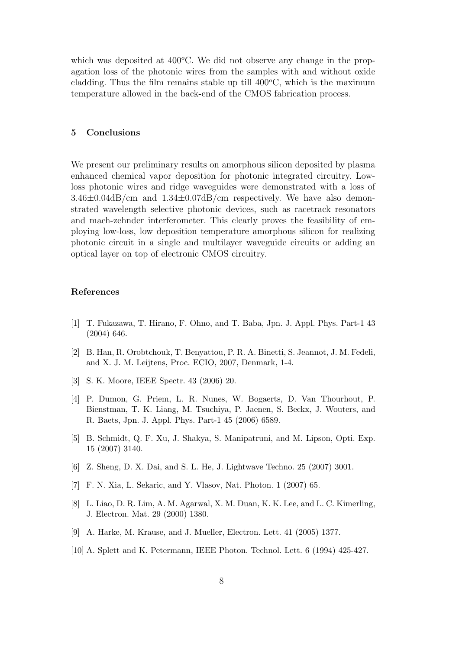which was deposited at  $400^{\circ}$ C. We did not observe any change in the propagation loss of the photonic wires from the samples with and without oxide cladding. Thus the film remains stable up till  $400^{\circ}$ C, which is the maximum temperature allowed in the back-end of the CMOS fabrication process.

#### 5 Conclusions

We present our preliminary results on amorphous silicon deposited by plasma enhanced chemical vapor deposition for photonic integrated circuitry. Lowloss photonic wires and ridge waveguides were demonstrated with a loss of  $3.46\pm0.04$ dB/cm and  $1.34\pm0.07$ dB/cm respectively. We have also demonstrated wavelength selective photonic devices, such as racetrack resonators and mach-zehnder interferometer. This clearly proves the feasibility of employing low-loss, low deposition temperature amorphous silicon for realizing photonic circuit in a single and multilayer waveguide circuits or adding an optical layer on top of electronic CMOS circuitry.

#### References

- [1] T. Fukazawa, T. Hirano, F. Ohno, and T. Baba, Jpn. J. Appl. Phys. Part-1 43 (2004) 646.
- [2] B. Han, R. Orobtchouk, T. Benyattou, P. R. A. Binetti, S. Jeannot, J. M. Fedeli, and X. J. M. Leijtens, Proc. ECIO, 2007, Denmark, 1-4.
- [3] S. K. Moore, IEEE Spectr. 43 (2006) 20.
- [4] P. Dumon, G. Priem, L. R. Nunes, W. Bogaerts, D. Van Thourhout, P. Bienstman, T. K. Liang, M. Tsuchiya, P. Jaenen, S. Beckx, J. Wouters, and R. Baets, Jpn. J. Appl. Phys. Part-1 45 (2006) 6589.
- [5] B. Schmidt, Q. F. Xu, J. Shakya, S. Manipatruni, and M. Lipson, Opti. Exp. 15 (2007) 3140.
- [6] Z. Sheng, D. X. Dai, and S. L. He, J. Lightwave Techno. 25 (2007) 3001.
- [7] F. N. Xia, L. Sekaric, and Y. Vlasov, Nat. Photon. 1 (2007) 65.
- [8] L. Liao, D. R. Lim, A. M. Agarwal, X. M. Duan, K. K. Lee, and L. C. Kimerling, J. Electron. Mat. 29 (2000) 1380.
- [9] A. Harke, M. Krause, and J. Mueller, Electron. Lett. 41 (2005) 1377.
- [10] A. Splett and K. Petermann, IEEE Photon. Technol. Lett. 6 (1994) 425-427.